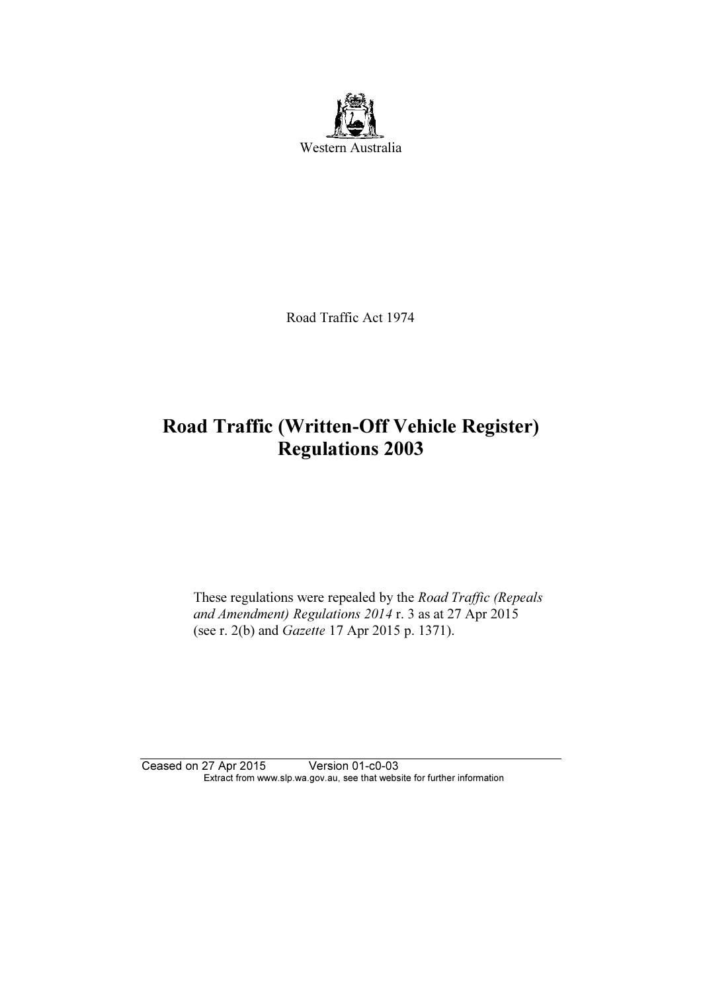

Road Traffic Act 1974

## Road Traffic (Written-Off Vehicle Register) Regulations 2003

 These regulations were repealed by the Road Traffic (Repeals and Amendment) Regulations 2014 r. 3 as at 27 Apr 2015 (see r. 2(b) and Gazette 17 Apr 2015 p. 1371).

Ceased on 27 Apr 2015 Version 01-c0-03 Extract from www.slp.wa.gov.au, see that website for further information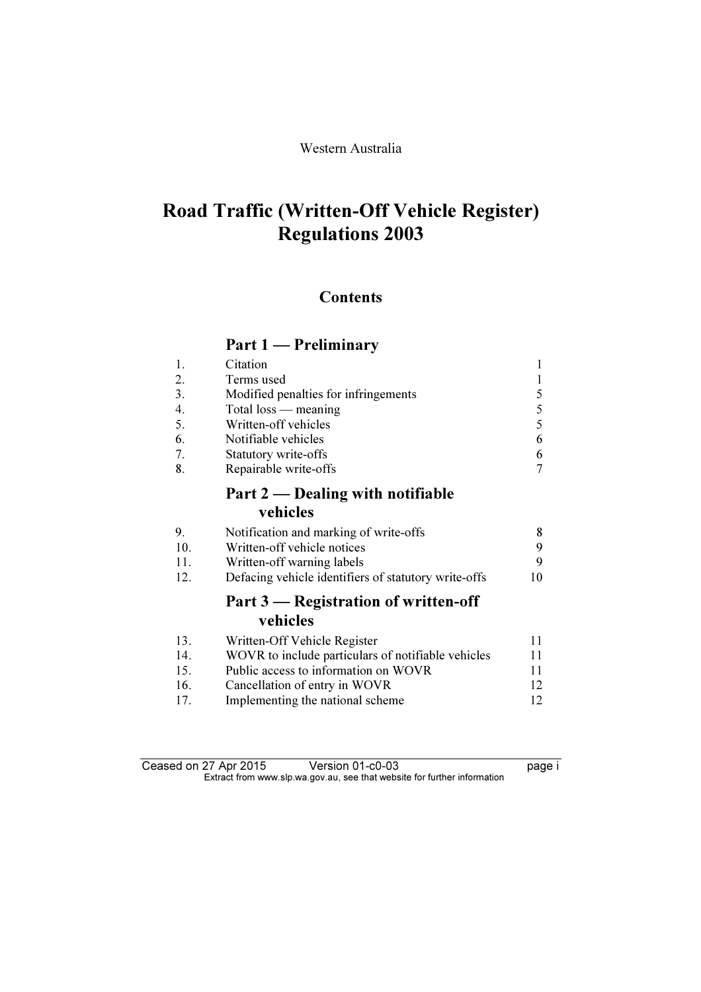# Road Traffic (Written-Off Vehicle Register) Regulations 2003

## **Contents**

## Part 1 — Preliminary

| 1.       | Citation                                             | 1  |  |  |  |
|----------|------------------------------------------------------|----|--|--|--|
| 2.       | Terms used                                           | 1  |  |  |  |
| 3.       | Modified penalties for infringements                 | 5  |  |  |  |
| 4.       | $Total loss - meaning$                               | 5  |  |  |  |
| 5.       | Written-off vehicles                                 | 5  |  |  |  |
| 6.       | Notifiable vehicles                                  | 6  |  |  |  |
| 7.       | Statutory write-offs                                 | 6  |  |  |  |
| 8.       | Repairable write-offs                                | 7  |  |  |  |
|          | Part 2 — Dealing with notifiable                     |    |  |  |  |
| vehicles |                                                      |    |  |  |  |
| 9.       | Notification and marking of write-offs               | 8  |  |  |  |
| 10.      | Written-off vehicle notices                          | 9  |  |  |  |
| 11.      | Written-off warning labels                           | 9  |  |  |  |
| 12.      | Defacing vehicle identifiers of statutory write-offs | 10 |  |  |  |
|          | Part 3 — Registration of written-off                 |    |  |  |  |
|          | vehicles                                             |    |  |  |  |
| 13.      | Written-Off Vehicle Register                         | 11 |  |  |  |
| 14.      | WOVR to include particulars of notifiable vehicles   | 11 |  |  |  |
| 15.      | Public access to information on WOVR                 | 11 |  |  |  |
| 16.      | Cancellation of entry in WOVR                        | 12 |  |  |  |

| 1.2. | Public access to information on WOVK |  |
|------|--------------------------------------|--|
| 16.  | Cancellation of entry in WOVR        |  |
| 17.  | Implementing the national scheme     |  |
|      |                                      |  |
|      |                                      |  |
|      |                                      |  |

|                                                                          | Ceased on 27 Apr 2015 | Version 01-c0-03 | page i |
|--------------------------------------------------------------------------|-----------------------|------------------|--------|
| Extract from www.slp.wa.gov.au, see that website for further information |                       |                  |        |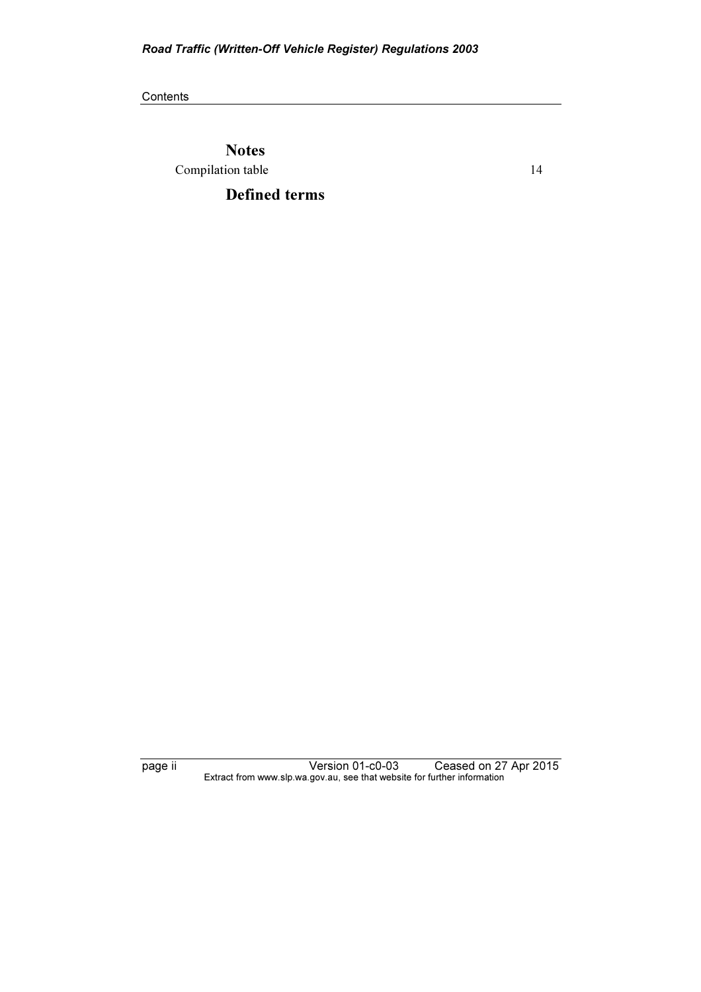**Contents** 

**Notes** Compilation table 14

Defined terms

page ii Version 01-c0-03 Ceased on 27 Apr 2015  $\mathbf{F}$  from which was the set that we besite for further information  $\mathbf{F}$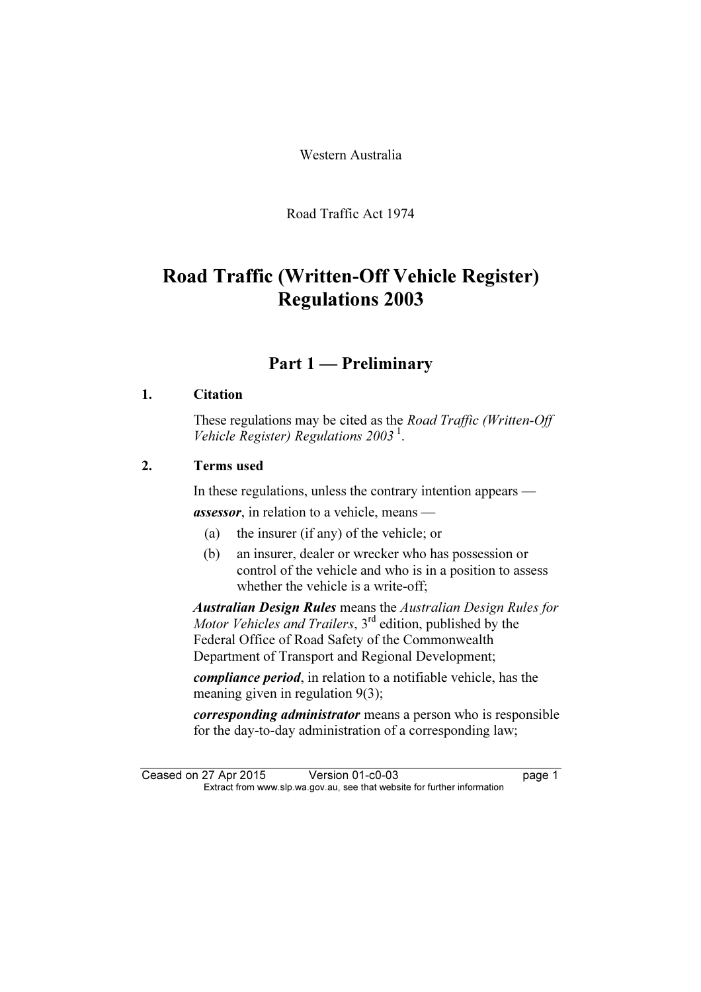Western Australia

Road Traffic Act 1974

## Road Traffic (Written-Off Vehicle Register) Regulations 2003

### Part 1 — Preliminary

### 1. Citation

 These regulations may be cited as the Road Traffic (Written-Off Vehicle Register) Regulations  $2003<sup>1</sup>$ .

### 2. Terms used

In these regulations, unless the contrary intention appears —

assessor, in relation to a vehicle, means —

- (a) the insurer (if any) of the vehicle; or
- (b) an insurer, dealer or wrecker who has possession or control of the vehicle and who is in a position to assess whether the vehicle is a write-off;

Australian Design Rules means the Australian Design Rules for Motor Vehicles and Trailers, 3<sup>rd</sup> edition, published by the Federal Office of Road Safety of the Commonwealth Department of Transport and Regional Development;

compliance period, in relation to a notifiable vehicle, has the meaning given in regulation 9(3);

corresponding administrator means a person who is responsible for the day-to-day administration of a corresponding law;

Ceased on 27 Apr 2015 Version 01-c0-03 page 1<br>Extract from www.slp.wa.gov.au, see that website for further information  $\mathbf{F}$  from which was the set that we besite for further information  $\mathbf{F}$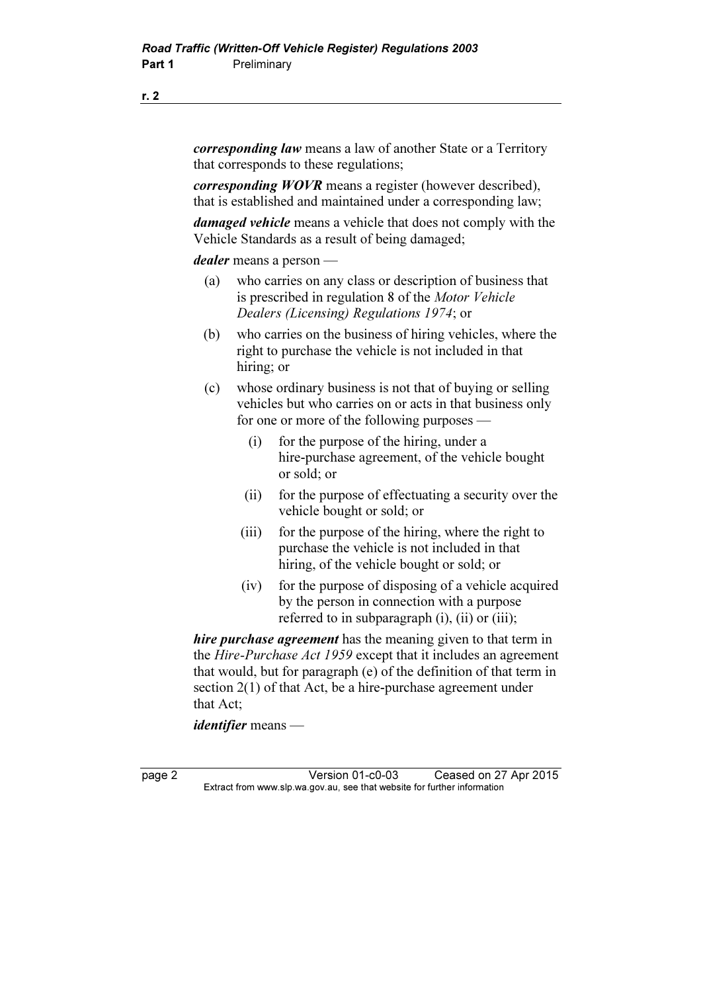corresponding law means a law of another State or a Territory that corresponds to these regulations;

corresponding WOVR means a register (however described), that is established and maintained under a corresponding law;

damaged vehicle means a vehicle that does not comply with the Vehicle Standards as a result of being damaged;

dealer means a person —

- (a) who carries on any class or description of business that is prescribed in regulation 8 of the Motor Vehicle Dealers (Licensing) Regulations 1974; or
- (b) who carries on the business of hiring vehicles, where the right to purchase the vehicle is not included in that hiring; or
- (c) whose ordinary business is not that of buying or selling vehicles but who carries on or acts in that business only for one or more of the following purposes —
	- (i) for the purpose of the hiring, under a hire-purchase agreement, of the vehicle bought or sold; or
	- (ii) for the purpose of effectuating a security over the vehicle bought or sold; or
	- (iii) for the purpose of the hiring, where the right to purchase the vehicle is not included in that hiring, of the vehicle bought or sold; or
	- (iv) for the purpose of disposing of a vehicle acquired by the person in connection with a purpose referred to in subparagraph (i), (ii) or (iii);

hire purchase agreement has the meaning given to that term in the Hire-Purchase Act 1959 except that it includes an agreement that would, but for paragraph (e) of the definition of that term in section 2(1) of that Act, be a hire-purchase agreement under that Act;

identifier means —

page 2 Version 01-c0-03 Ceased on 27 Apr 2015<br>Extract from www.slp.wa.gov.au, see that website for further information  $\mathbf{F}$  from which was the set that we besite for further information  $\mathbf{F}$ 

r. 2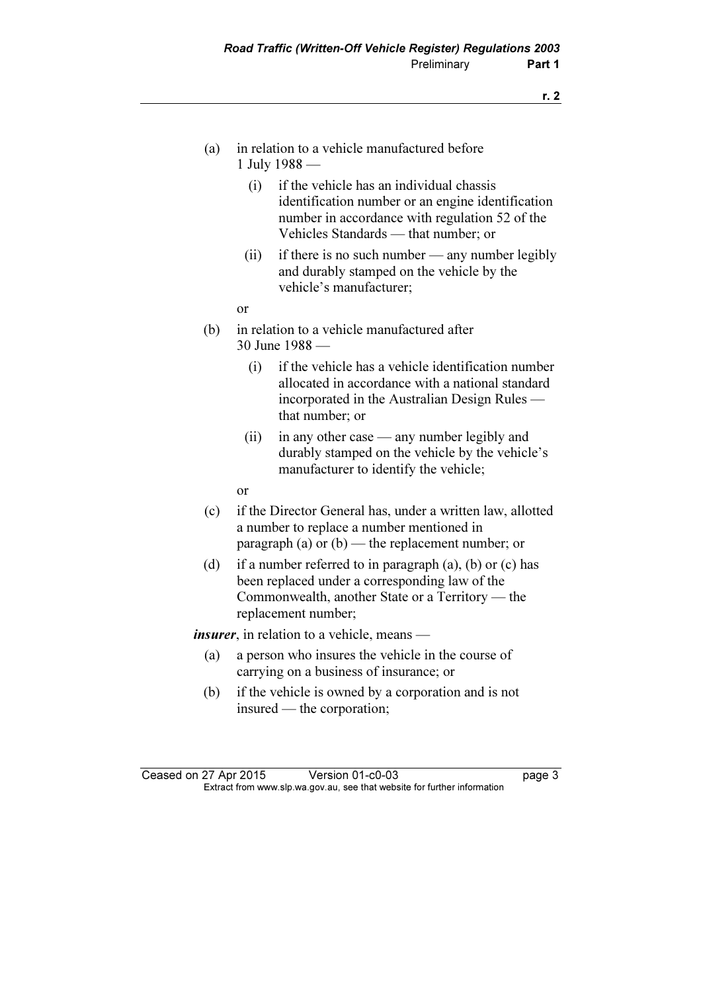- (a) in relation to a vehicle manufactured before 1 July 1988 —
	- (i) if the vehicle has an individual chassis identification number or an engine identification number in accordance with regulation 52 of the Vehicles Standards — that number; or
	- (ii) if there is no such number any number legibly and durably stamped on the vehicle by the vehicle's manufacturer;
- or
	- (b) in relation to a vehicle manufactured after 30 June 1988 —
		- (i) if the vehicle has a vehicle identification number allocated in accordance with a national standard incorporated in the Australian Design Rules that number; or
		- (ii) in any other case any number legibly and durably stamped on the vehicle by the vehicle's manufacturer to identify the vehicle;
		- or
	- (c) if the Director General has, under a written law, allotted a number to replace a number mentioned in paragraph (a) or  $(b)$  — the replacement number; or
	- (d) if a number referred to in paragraph (a), (b) or (c) has been replaced under a corresponding law of the Commonwealth, another State or a Territory — the replacement number;

*insurer*, in relation to a vehicle, means —

- (a) a person who insures the vehicle in the course of carrying on a business of insurance; or
- (b) if the vehicle is owned by a corporation and is not insured — the corporation;

Ceased on 27 Apr 2015 Version 01-c0-03 page 3<br>Extract from www.slp.wa.gov.au, see that website for further information  $\mathbf{F}$  from which was the set that we besite for further information  $\mathbf{F}$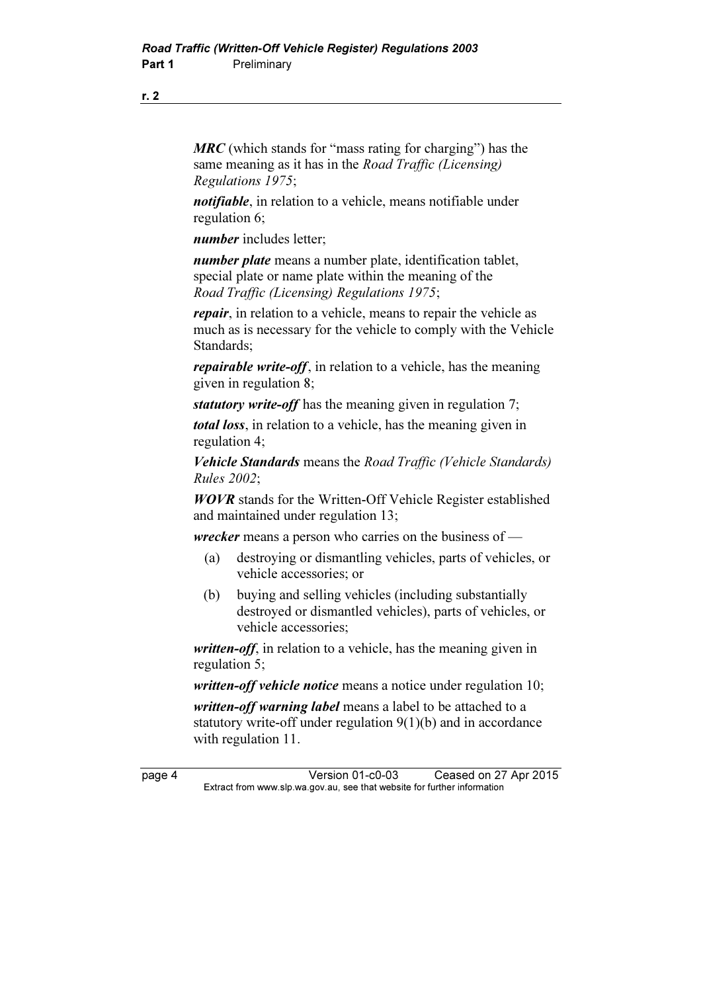MRC (which stands for "mass rating for charging") has the same meaning as it has in the Road Traffic (Licensing) Regulations 1975;

notifiable, in relation to a vehicle, means notifiable under regulation 6;

number includes letter;

number plate means a number plate, identification tablet, special plate or name plate within the meaning of the Road Traffic (Licensing) Regulations 1975;

repair, in relation to a vehicle, means to repair the vehicle as much as is necessary for the vehicle to comply with the Vehicle Standards;

repairable write-off, in relation to a vehicle, has the meaning given in regulation 8;

statutory write-off has the meaning given in regulation 7;

total loss, in relation to a vehicle, has the meaning given in regulation 4;

Vehicle Standards means the Road Traffic (Vehicle Standards) Rules 2002;

WOVR stands for the Written-Off Vehicle Register established and maintained under regulation 13;

*wrecker* means a person who carries on the business of —

- (a) destroying or dismantling vehicles, parts of vehicles, or vehicle accessories; or
- (b) buying and selling vehicles (including substantially destroyed or dismantled vehicles), parts of vehicles, or vehicle accessories;

written-off, in relation to a vehicle, has the meaning given in regulation 5;

written-off vehicle notice means a notice under regulation 10;

written-off warning label means a label to be attached to a statutory write-off under regulation 9(1)(b) and in accordance with regulation 11.

page 4 Version 01-c0-03 Ceased on 27 Apr 2015<br>Extract from www.slp.wa.gov.au, see that website for further information  $\mathbf{F}$  from which was the set that we besite for further information  $\mathbf{F}$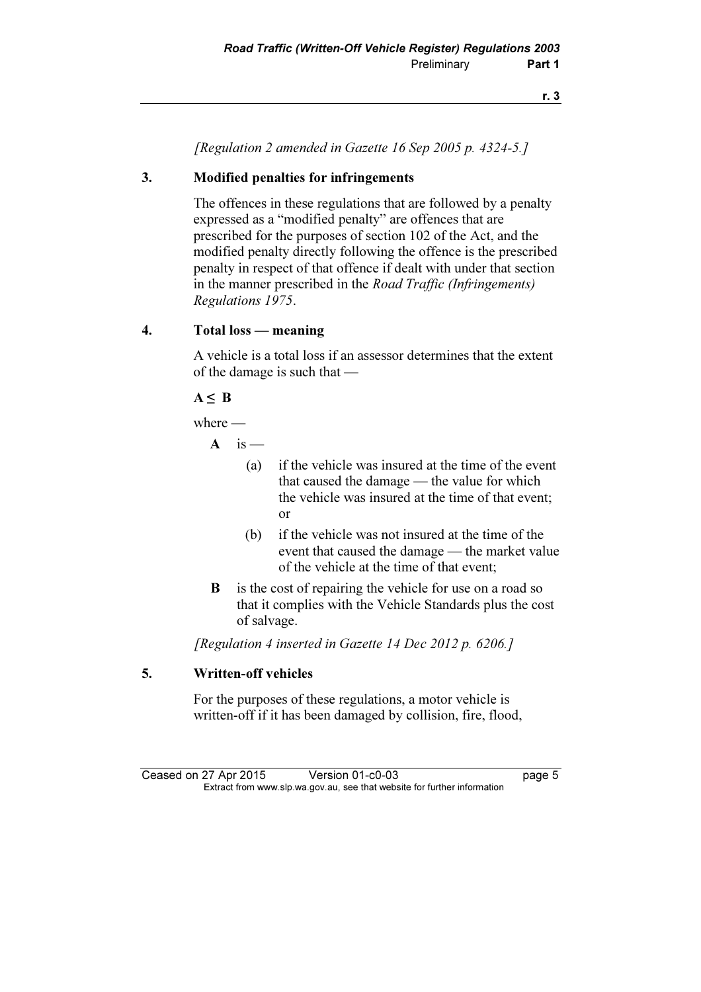[Regulation 2 amended in Gazette 16 Sep 2005 p. 4324-5.]

### 3. Modified penalties for infringements

 The offences in these regulations that are followed by a penalty expressed as a "modified penalty" are offences that are prescribed for the purposes of section 102 of the Act, and the modified penalty directly following the offence is the prescribed penalty in respect of that offence if dealt with under that section in the manner prescribed in the Road Traffic (Infringements) Regulations 1975.

### 4. Total loss — meaning

 A vehicle is a total loss if an assessor determines that the extent of the damage is such that —

 $A \leq B$ 

where —

 $A$  is —

- (a) if the vehicle was insured at the time of the event that caused the damage — the value for which the vehicle was insured at the time of that event; or
- (b) if the vehicle was not insured at the time of the event that caused the damage — the market value of the vehicle at the time of that event;
- B is the cost of repairing the vehicle for use on a road so that it complies with the Vehicle Standards plus the cost of salvage.

[Regulation 4 inserted in Gazette 14 Dec 2012 p. 6206.]

### 5. Written-off vehicles

 For the purposes of these regulations, a motor vehicle is written-off if it has been damaged by collision, fire, flood,

Ceased on 27 Apr 2015 Version 01-c0-03 page 5<br>Extract from www.slp.wa.gov.au, see that website for further information  $\mathbf{F}$  from which was the set that we besite for further information  $\mathbf{F}$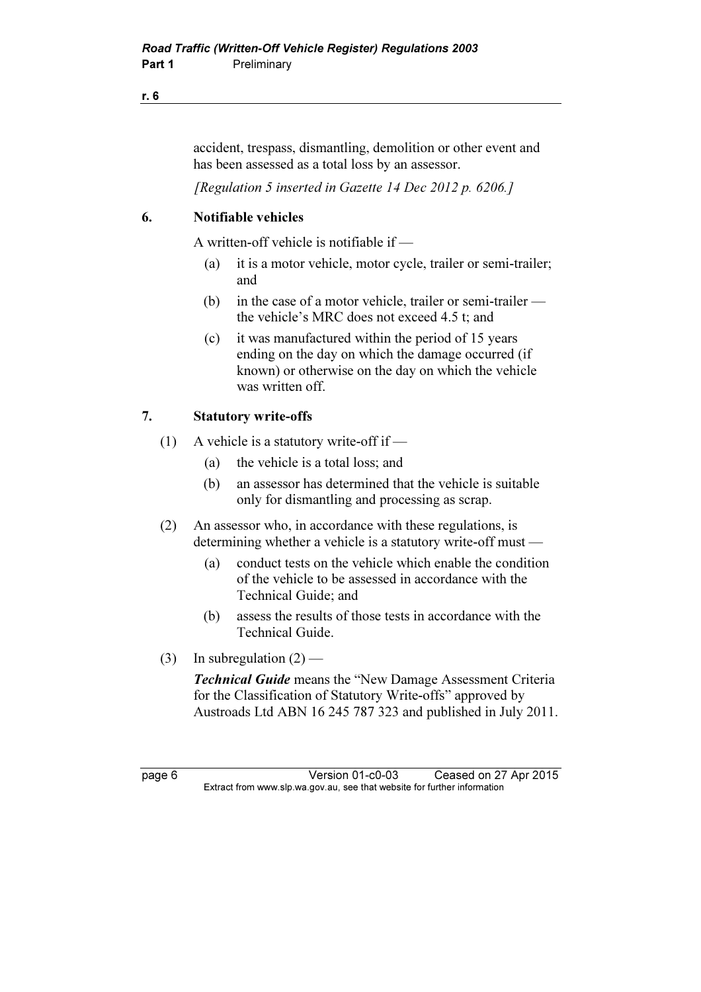accident, trespass, dismantling, demolition or other event and has been assessed as a total loss by an assessor.

[Regulation 5 inserted in Gazette 14 Dec 2012 p. 6206.]

### 6. Notifiable vehicles

A written-off vehicle is notifiable if —

- (a) it is a motor vehicle, motor cycle, trailer or semi-trailer; and
- (b) in the case of a motor vehicle, trailer or semi-trailer  $$ the vehicle's MRC does not exceed 4.5 t; and
- (c) it was manufactured within the period of 15 years ending on the day on which the damage occurred (if known) or otherwise on the day on which the vehicle was written off.

### 7. Statutory write-offs

- (1) A vehicle is a statutory write-off if  $-$ 
	- (a) the vehicle is a total loss; and
	- (b) an assessor has determined that the vehicle is suitable only for dismantling and processing as scrap.
- (2) An assessor who, in accordance with these regulations, is determining whether a vehicle is a statutory write-off must —
	- (a) conduct tests on the vehicle which enable the condition of the vehicle to be assessed in accordance with the Technical Guide; and
	- (b) assess the results of those tests in accordance with the Technical Guide.
- (3) In subregulation  $(2)$  —

**Technical Guide** means the "New Damage Assessment Criteria for the Classification of Statutory Write-offs" approved by Austroads Ltd ABN 16 245 787 323 and published in July 2011.

page 6 Version 01-c0-03 Ceased on 27 Apr 2015<br>Extract from www.slp.wa.gov.au, see that website for further information  $\mathbf{F}$  from which was the set that we besite for further information  $\mathbf{F}$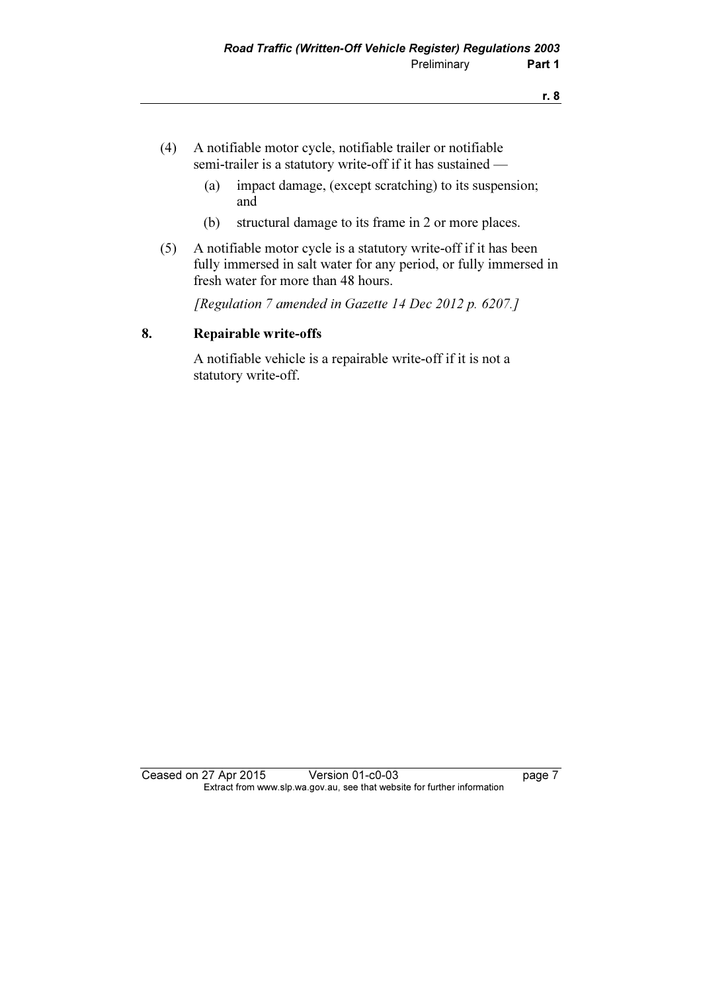- (4) A notifiable motor cycle, notifiable trailer or notifiable semi-trailer is a statutory write-off if it has sustained —
	- (a) impact damage, (except scratching) to its suspension; and
	- (b) structural damage to its frame in 2 or more places.
- (5) A notifiable motor cycle is a statutory write-off if it has been fully immersed in salt water for any period, or fully immersed in fresh water for more than 48 hours.

[Regulation 7 amended in Gazette 14 Dec 2012 p. 6207.]

### 8. Repairable write-offs

 A notifiable vehicle is a repairable write-off if it is not a statutory write-off.

Ceased on 27 Apr 2015 Version 01-c0-03 page 7 Extract from www.slp.wa.gov.au, see that website for further information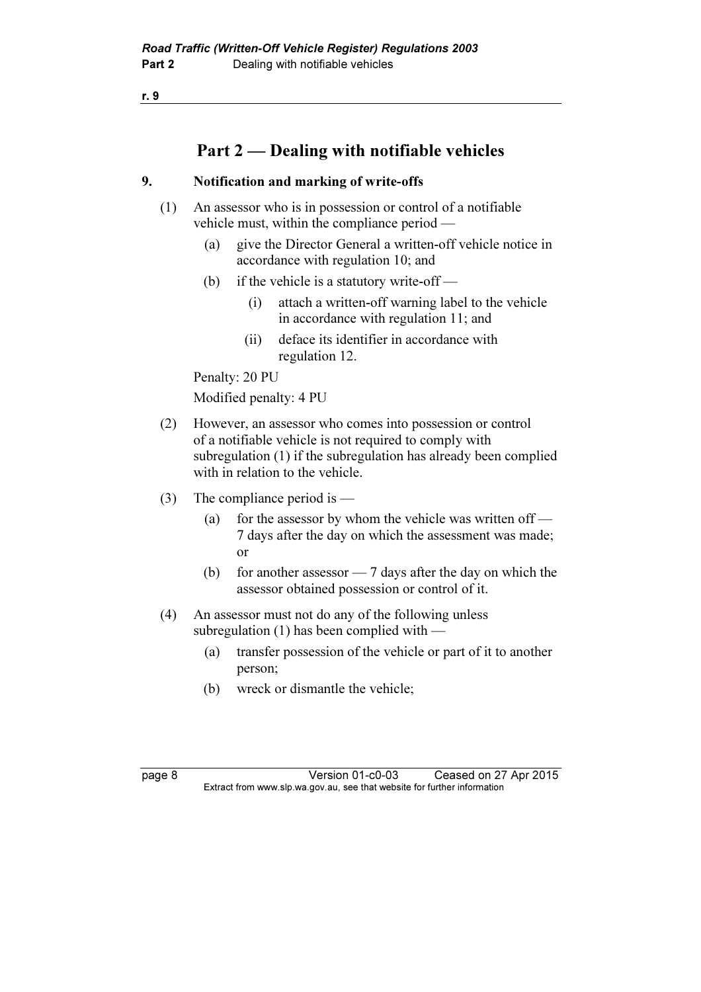# Part 2 — Dealing with notifiable vehicles

### 9. Notification and marking of write-offs

- (1) An assessor who is in possession or control of a notifiable vehicle must, within the compliance period —
	- (a) give the Director General a written-off vehicle notice in accordance with regulation 10; and
	- (b) if the vehicle is a statutory write-off
		- (i) attach a written-off warning label to the vehicle in accordance with regulation 11; and
		- (ii) deface its identifier in accordance with regulation 12.

Penalty: 20 PU

Modified penalty: 4 PU

- (2) However, an assessor who comes into possession or control of a notifiable vehicle is not required to comply with subregulation (1) if the subregulation has already been complied with in relation to the vehicle.
- (3) The compliance period is
	- (a) for the assessor by whom the vehicle was written of  $f$  7 days after the day on which the assessment was made; or
	- (b) for another assessor 7 days after the day on which the assessor obtained possession or control of it.
- (4) An assessor must not do any of the following unless subregulation (1) has been complied with —
	- (a) transfer possession of the vehicle or part of it to another person;
	- (b) wreck or dismantle the vehicle;

page 8 Version 01-c0-03 Ceased on 27 Apr 2015<br>Extract from www.slp.wa.gov.au, see that website for further information  $\mathbf{F}$  from which was the set that we besite for further information  $\mathbf{F}$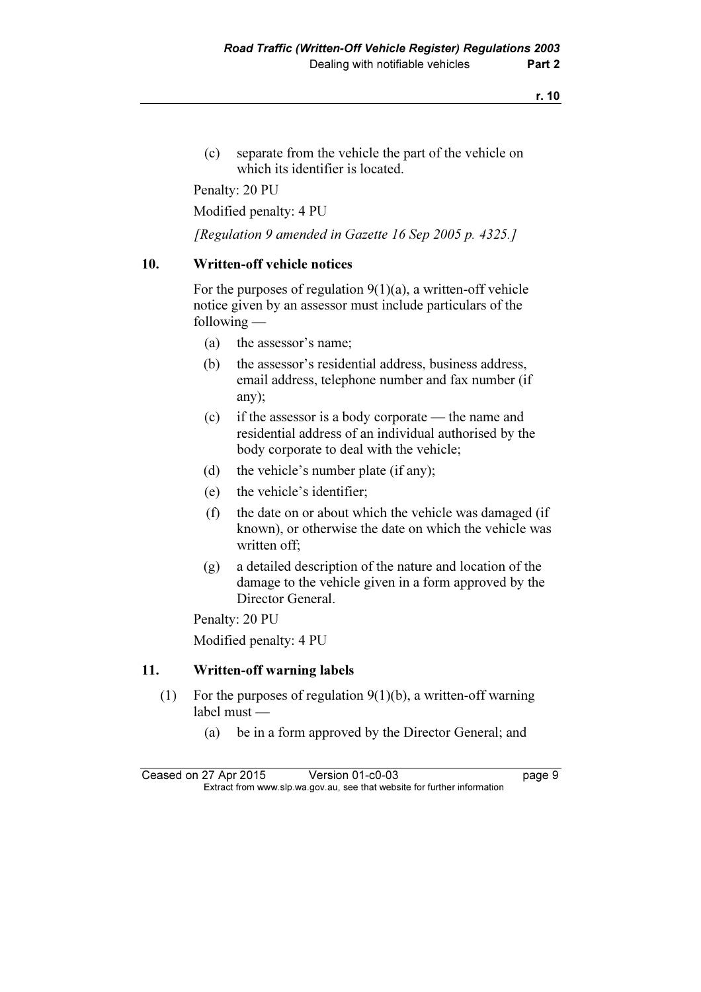(c) separate from the vehicle the part of the vehicle on which its identifier is located.

Penalty: 20 PU

Modified penalty: 4 PU

[Regulation 9 amended in Gazette 16 Sep 2005 p. 4325.]

### 10. Written-off vehicle notices

For the purposes of regulation  $9(1)(a)$ , a written-off vehicle notice given by an assessor must include particulars of the following —

- (a) the assessor's name;
- (b) the assessor's residential address, business address, email address, telephone number and fax number (if any);
- (c) if the assessor is a body corporate the name and residential address of an individual authorised by the body corporate to deal with the vehicle;
- (d) the vehicle's number plate (if any);
- (e) the vehicle's identifier;
- (f) the date on or about which the vehicle was damaged (if known), or otherwise the date on which the vehicle was written off;
- (g) a detailed description of the nature and location of the damage to the vehicle given in a form approved by the Director General.

Penalty: 20 PU

Modified penalty: 4 PU

### 11. Written-off warning labels

- (1) For the purposes of regulation  $9(1)(b)$ , a written-off warning label must —
	- (a) be in a form approved by the Director General; and

Ceased on 27 Apr 2015 Version 01-c0-03 page 9<br>Extract from www.slp.wa.gov.au, see that website for further information  $\mathbf{F}$  from which was the set that we besite for further information  $\mathbf{F}$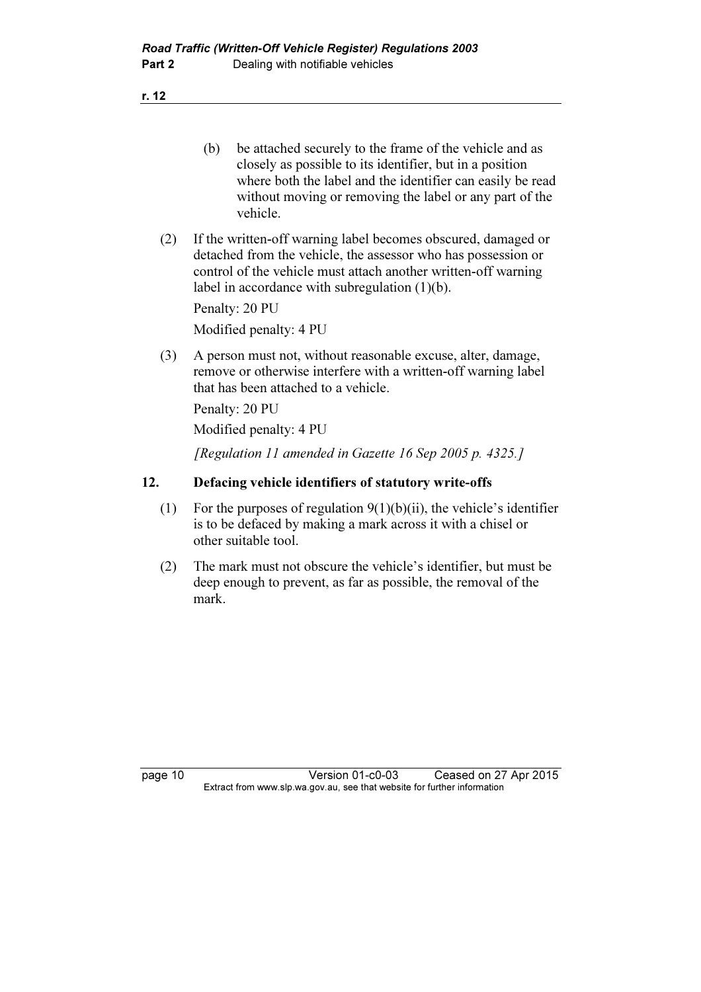- (b) be attached securely to the frame of the vehicle and as closely as possible to its identifier, but in a position where both the label and the identifier can easily be read without moving or removing the label or any part of the vehicle.
- (2) If the written-off warning label becomes obscured, damaged or detached from the vehicle, the assessor who has possession or control of the vehicle must attach another written-off warning label in accordance with subregulation (1)(b).

 Penalty: 20 PU Modified penalty: 4 PU

 (3) A person must not, without reasonable excuse, alter, damage, remove or otherwise interfere with a written-off warning label that has been attached to a vehicle.

Penalty: 20 PU

Modified penalty: 4 PU

[Regulation 11 amended in Gazette 16 Sep 2005 p. 4325.]

### 12. Defacing vehicle identifiers of statutory write-offs

- (1) For the purposes of regulation  $9(1)(b)(ii)$ , the vehicle's identifier is to be defaced by making a mark across it with a chisel or other suitable tool.
- (2) The mark must not obscure the vehicle's identifier, but must be deep enough to prevent, as far as possible, the removal of the mark.

page 10 Version 01-c0-03 Ceased on 27 Apr 2015<br>Extract from www.slp.wa.gov.au, see that website for further information  $\mathbf{F}$  from which was the set that we besite for further information  $\mathbf{F}$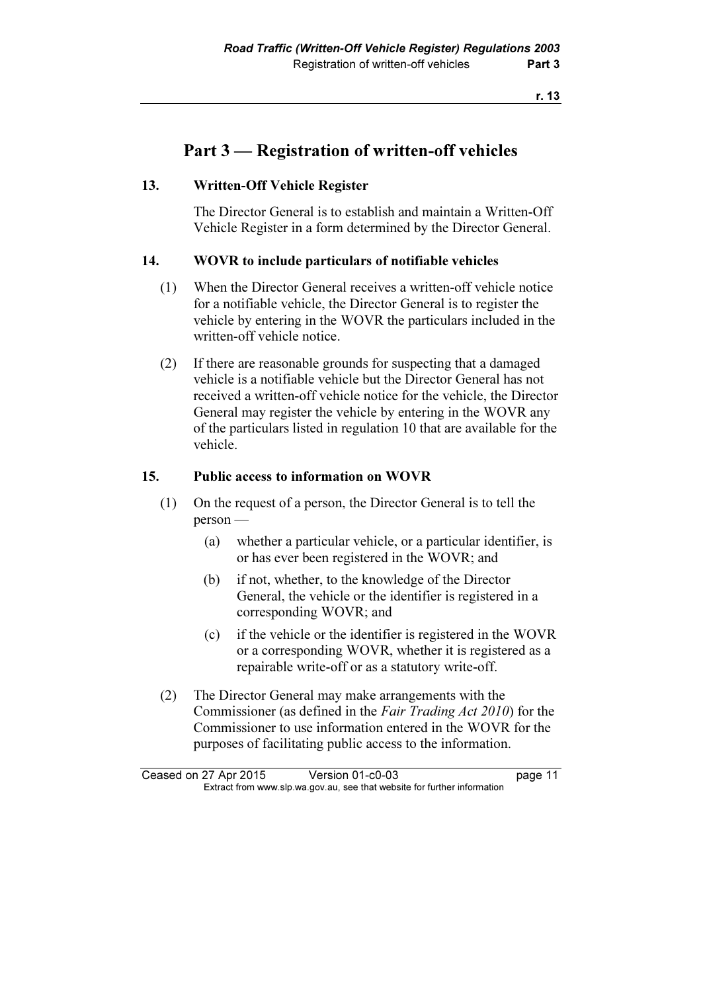# Part 3 — Registration of written-off vehicles

### 13. Written-Off Vehicle Register

 The Director General is to establish and maintain a Written-Off Vehicle Register in a form determined by the Director General.

### 14. WOVR to include particulars of notifiable vehicles

- (1) When the Director General receives a written-off vehicle notice for a notifiable vehicle, the Director General is to register the vehicle by entering in the WOVR the particulars included in the written-off vehicle notice.
- (2) If there are reasonable grounds for suspecting that a damaged vehicle is a notifiable vehicle but the Director General has not received a written-off vehicle notice for the vehicle, the Director General may register the vehicle by entering in the WOVR any of the particulars listed in regulation 10 that are available for the vehicle.

### 15. Public access to information on WOVR

- (1) On the request of a person, the Director General is to tell the person —
	- (a) whether a particular vehicle, or a particular identifier, is or has ever been registered in the WOVR; and
	- (b) if not, whether, to the knowledge of the Director General, the vehicle or the identifier is registered in a corresponding WOVR; and
	- (c) if the vehicle or the identifier is registered in the WOVR or a corresponding WOVR, whether it is registered as a repairable write-off or as a statutory write-off.
- (2) The Director General may make arrangements with the Commissioner (as defined in the Fair Trading Act 2010) for the Commissioner to use information entered in the WOVR for the purposes of facilitating public access to the information.

Ceased on 27 Apr 2015 Version 01-c0-03 page 11<br>Extract from www.slp.wa.gov.au, see that website for further information  $\mathbf{F}$  from which was the set that we besite for further information  $\mathbf{F}$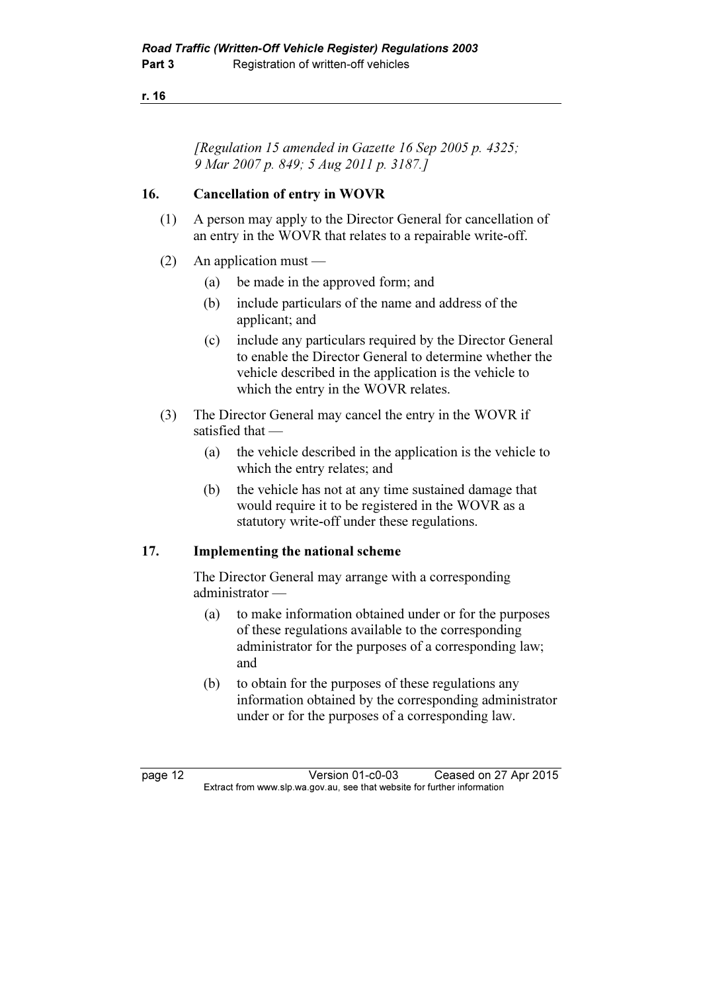[Regulation 15 amended in Gazette 16 Sep 2005 p. 4325; 9 Mar 2007 p. 849; 5 Aug 2011 p. 3187.]

### 16. Cancellation of entry in WOVR

- (1) A person may apply to the Director General for cancellation of an entry in the WOVR that relates to a repairable write-off.
- (2) An application must
	- (a) be made in the approved form; and
	- (b) include particulars of the name and address of the applicant; and
	- (c) include any particulars required by the Director General to enable the Director General to determine whether the vehicle described in the application is the vehicle to which the entry in the WOVR relates.
- (3) The Director General may cancel the entry in the WOVR if satisfied that —
	- (a) the vehicle described in the application is the vehicle to which the entry relates; and
	- (b) the vehicle has not at any time sustained damage that would require it to be registered in the WOVR as a statutory write-off under these regulations.

### 17. Implementing the national scheme

 The Director General may arrange with a corresponding administrator —

- (a) to make information obtained under or for the purposes of these regulations available to the corresponding administrator for the purposes of a corresponding law; and
- (b) to obtain for the purposes of these regulations any information obtained by the corresponding administrator under or for the purposes of a corresponding law.

page 12 Version 01-c0-03 Ceased on 27 Apr 2015<br>Extract from www.slp.wa.gov.au, see that website for further information  $\mathbf{F}$  from which was the set that we besite for further information  $\mathbf{F}$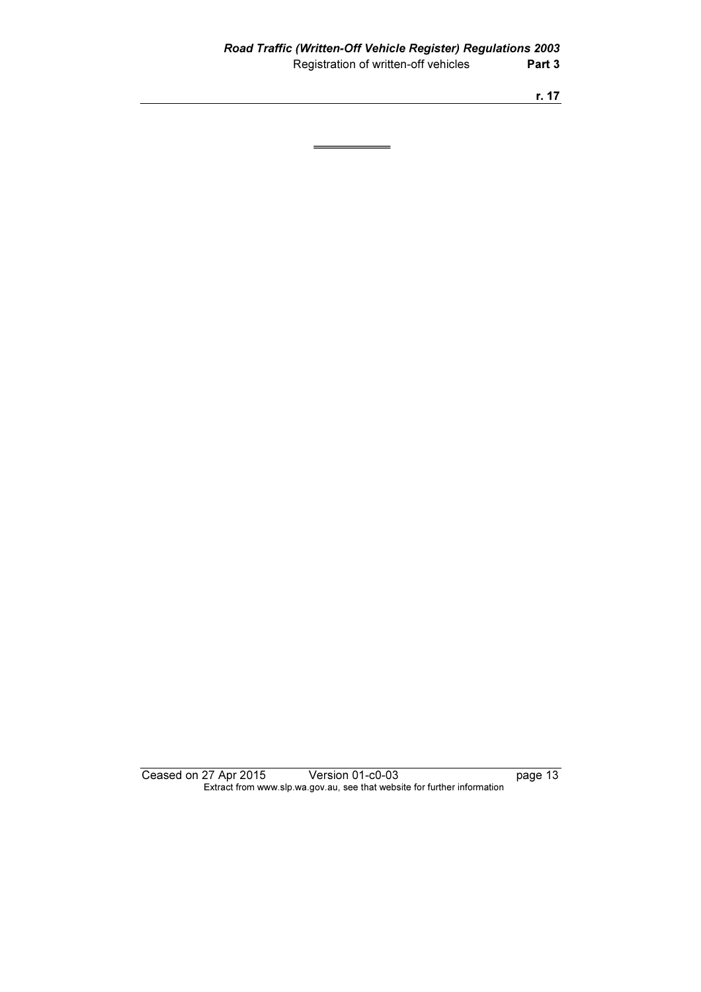Ceased on 27 Apr 2015 Version 01-c0-03 page 13  $\mathbf{F}$  from which was the set that we besite for further information  $\mathbf{F}$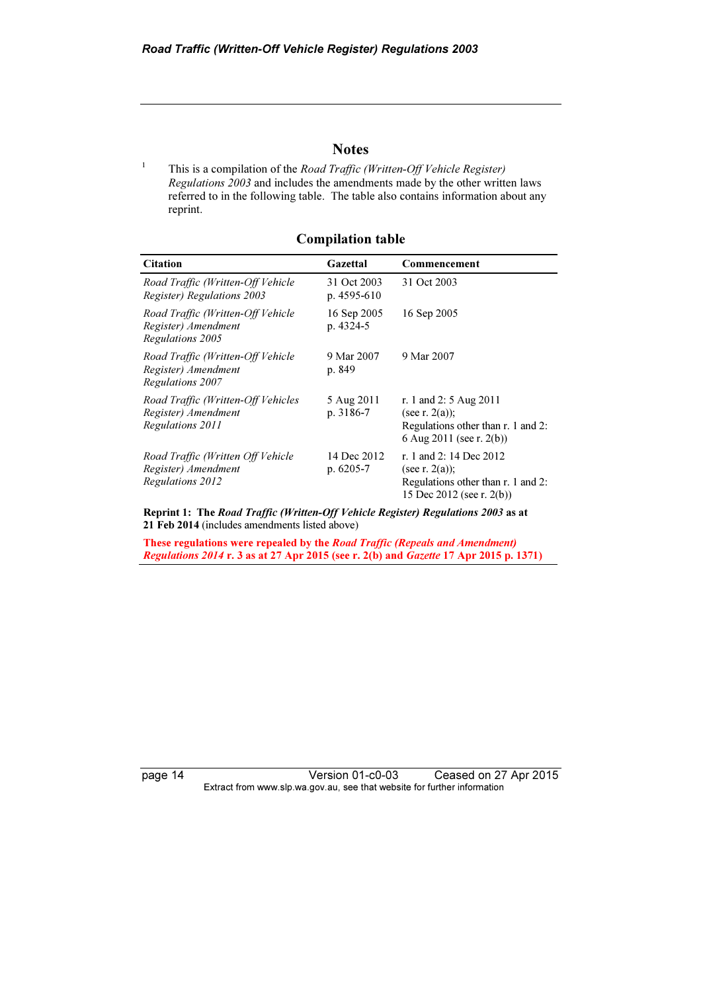### **Notes**

 This is a compilation of the Road Traffic (Written-Off Vehicle Register) Regulations 2003 and includes the amendments made by the other written laws referred to in the following table. The table also contains information about any reprint.

| <b>Citation</b>                                                               | Gazettal                   | Commencement                                                                                                       |
|-------------------------------------------------------------------------------|----------------------------|--------------------------------------------------------------------------------------------------------------------|
| Road Traffic (Written-Off Vehicle<br>Register) Regulations 2003               | 31 Oct 2003<br>p. 4595-610 | 31 Oct 2003                                                                                                        |
| Road Traffic (Written-Off Vehicle<br>Register) Amendment<br>Regulations 2005  | 16 Sep 2005<br>p. 4324-5   | 16 Sep 2005                                                                                                        |
| Road Traffic (Written-Off Vehicle<br>Register) Amendment<br>Regulations 2007  | 9 Mar 2007<br>p. 849       | 9 Mar 2007                                                                                                         |
| Road Traffic (Written-Off Vehicles<br>Register) Amendment<br>Regulations 2011 | 5 Aug 2011<br>p. 3186-7    | r. 1 and 2: 5 Aug 2011<br>(see r. $2(a)$ );<br>Regulations other than r. 1 and 2:<br>6 Aug 2011 (see r. 2(b))      |
| Road Traffic (Written Off Vehicle<br>Register) Amendment<br>Regulations 2012  | 14 Dec 2012<br>p. 6205-7   | r. 1 and 2: 14 Dec 2012<br>(see r. $2(a)$ );<br>Regulations other than r. 1 and 2:<br>15 Dec 2012 (see r. $2(b)$ ) |

#### Compilation table

Reprint 1: The Road Traffic (Written-Off Vehicle Register) Regulations 2003 as at 21 Feb 2014 (includes amendments listed above)

These regulations were repealed by the Road Traffic (Repeals and Amendment) Regulations 2014 r. 3 as at 27 Apr 2015 (see r. 2(b) and Gazette 17 Apr 2015 p. 1371)

1

page 14 Version 01-c0-03 Ceased on 27 Apr 2015 Extract from www.slp.wa.gov.au, see that website for further information